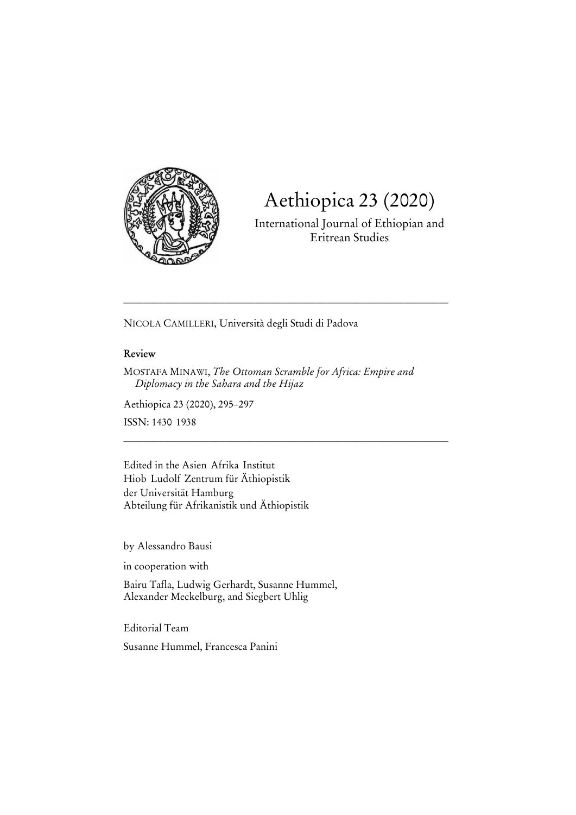

# Aethiopica 23 (2020)

International Journal of Ethiopian and Eritrean Studies

NICOLA CAMILLERI, Università degli Studi di Padova

## **Review**

MOSTAFA MINAWI, *The Ottoman Scramble for Africa: Empire and Diplomacy in the Sahara and the Hijaz* 

\_\_\_\_\_\_\_\_\_\_\_\_\_\_\_\_\_\_\_\_\_\_\_\_\_\_\_\_\_\_\_\_\_\_\_\_\_\_\_\_\_\_\_\_\_\_\_\_\_\_\_\_\_\_\_\_\_\_\_\_\_\_\_\_

\_\_\_\_\_\_\_\_\_\_\_\_\_\_\_\_\_\_\_\_\_\_\_\_\_\_\_\_\_\_\_\_\_\_\_\_\_\_\_\_\_\_\_\_\_\_\_\_\_\_\_\_\_\_\_\_\_\_\_\_\_\_\_\_

Aethiopica 23 (2020), 295–297

ISSN: 1430-1938

Edited in the Asien-Afrika-Institut Hiob-Ludolf-Zentrum für Äthiopistik der Universität Hamburg Abteilung für Afrikanistik und Äthiopistik

by Alessandro Bausi

in cooperation with

Bairu Tafla, Ludwig Gerhardt, Susanne Hummel, Alexander Meckelburg, and Siegbert Uhlig

Editorial Team Susanne Hummel, Francesca Panini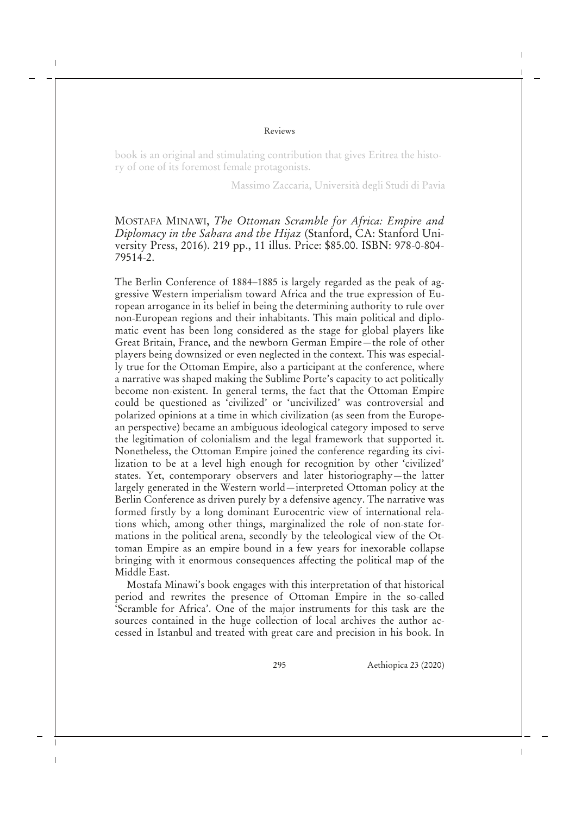#### Reviews

book is an original and stimulating contribution that gives Eritrea the history of one of its foremost female protagonists.

Massimo Zaccaria, Università degli Studi di Pavia

## MOSTAFA MINAWI, *The Ottoman Scramble for Africa: Empire and Diplomacy in the Sahara and the Hijaz* (Stanford, CA: Stanford University Press, 2016). 219 pp., 11 illus. Price: \$85.00. ISBN: 978-0-804- 79514-2.

The Berlin Conference of 1884–1885 is largely regarded as the peak of aggressive Western imperialism toward Africa and the true expression of European arrogance in its belief in being the determining authority to rule over non-European regions and their inhabitants. This main political and diplomatic event has been long considered as the stage for global players like Great Britain, France, and the newborn German Empire—the role of other players being downsized or even neglected in the context. This was especially true for the Ottoman Empire, also a participant at the conference, where a narrative was shaped making the Sublime Porte's capacity to act politically become non-existent. In general terms, the fact that the Ottoman Empire could be questioned as 'civilized' or 'uncivilized' was controversial and polarized opinions at a time in which civilization (as seen from the European perspective) became an ambiguous ideological category imposed to serve the legitimation of colonialism and the legal framework that supported it. Nonetheless, the Ottoman Empire joined the conference regarding its civilization to be at a level high enough for recognition by other 'civilized' states. Yet, contemporary observers and later historiography—the latter largely generated in the Western world—interpreted Ottoman policy at the Berlin Conference as driven purely by a defensive agency. The narrative was formed firstly by a long dominant Eurocentric view of international relations which, among other things, marginalized the role of non-state formations in the political arena, secondly by the teleological view of the Ottoman Empire as an empire bound in a few years for inexorable collapse bringing with it enormous consequences affecting the political map of the Middle East.

Mostafa Minawi's book engages with this interpretation of that historical period and rewrites the presence of Ottoman Empire in the so-called 'Scramble for Africa'. One of the major instruments for this task are the sources contained in the huge collection of local archives the author accessed in Istanbul and treated with great care and precision in his book. In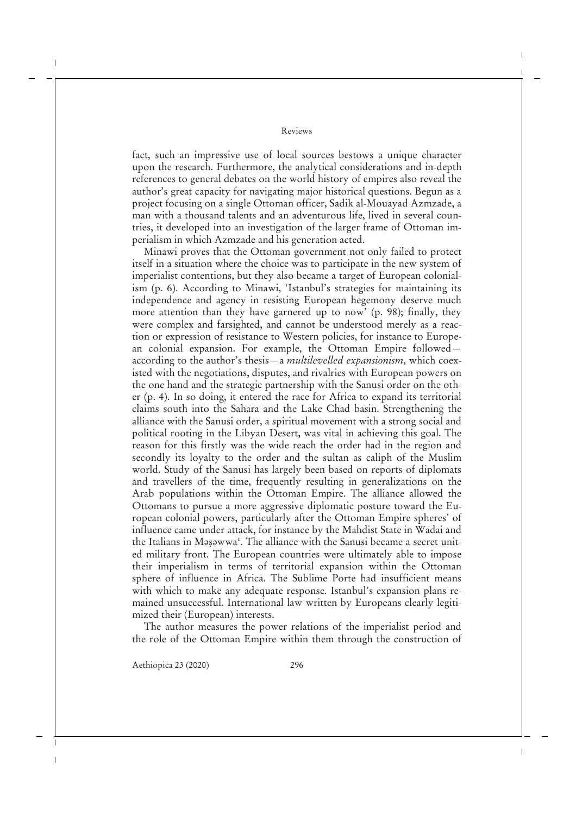#### Reviews

fact, such an impressive use of local sources bestows a unique character upon the research. Furthermore, the analytical considerations and in-depth references to general debates on the world history of empires also reveal the author's great capacity for navigating major historical questions. Begun as a project focusing on a single Ottoman officer, Sadik al-Mouayad Azmzade, a man with a thousand talents and an adventurous life, lived in several countries, it developed into an investigation of the larger frame of Ottoman imperialism in which Azmzade and his generation acted.

Minawi proves that the Ottoman government not only failed to protect itself in a situation where the choice was to participate in the new system of imperialist contentions, but they also became a target of European colonialism (p. 6). According to Minawi, 'Istanbul's strategies for maintaining its independence and agency in resisting European hegemony deserve much more attention than they have garnered up to now' (p. 98); finally, they were complex and farsighted, and cannot be understood merely as a reaction or expression of resistance to Western policies, for instance to European colonial expansion. For example, the Ottoman Empire followed according to the author's thesis—a *multilevelled expansionism*, which coexisted with the negotiations, disputes, and rivalries with European powers on the one hand and the strategic partnership with the Sanusi order on the other (p. 4). In so doing, it entered the race for Africa to expand its territorial claims south into the Sahara and the Lake Chad basin. Strengthening the alliance with the Sanusi order, a spiritual movement with a strong social and political rooting in the Libyan Desert, was vital in achieving this goal. The reason for this firstly was the wide reach the order had in the region and secondly its loyalty to the order and the sultan as caliph of the Muslim world. Study of the Sanusi has largely been based on reports of diplomats and travellers of the time, frequently resulting in generalizations on the Arab populations within the Ottoman Empire. The alliance allowed the Ottomans to pursue a more aggressive diplomatic posture toward the European colonial powers, particularly after the Ottoman Empire spheres' of influence came under attack, for instance by the Mahdist State in Wadai and the Italians in Məşəwwa<sup>c</sup>. The alliance with the Sanusi became a secret united military front. The European countries were ultimately able to impose their imperialism in terms of territorial expansion within the Ottoman sphere of influence in Africa. The Sublime Porte had insufficient means with which to make any adequate response. Istanbul's expansion plans remained unsuccessful. International law written by Europeans clearly legitimized their (European) interests.

The author measures the power relations of the imperialist period and the role of the Ottoman Empire within them through the construction of

Aethiopica 23 (2020) 296